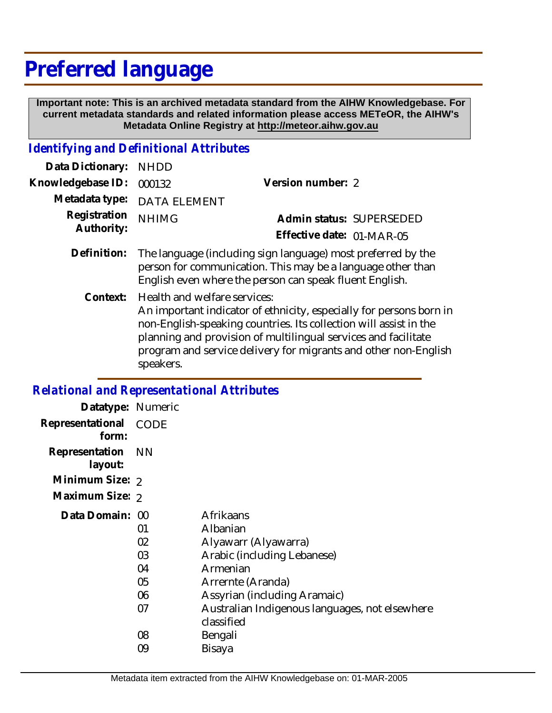# **Preferred language**

 **Important note: This is an archived metadata standard from the AIHW Knowledgebase. For current metadata standards and related information please access METeOR, the AIHW's Metadata Online Registry at http://meteor.aihw.gov.au**

# *Identifying and Definitional Attributes*

| Data Dictionary:  | <b>NHDD</b>                                                                                                                                                                            |                                                                                                                                                                                                            |  |
|-------------------|----------------------------------------------------------------------------------------------------------------------------------------------------------------------------------------|------------------------------------------------------------------------------------------------------------------------------------------------------------------------------------------------------------|--|
| Knowledgebase ID: | 000132                                                                                                                                                                                 | Version number: 2                                                                                                                                                                                          |  |
| Metadata type:    | <b>DATA ELEMENT</b>                                                                                                                                                                    |                                                                                                                                                                                                            |  |
| Registration      | <b>NHIMG</b>                                                                                                                                                                           | Admin status: SUPERSEDED                                                                                                                                                                                   |  |
| Authority:        |                                                                                                                                                                                        | Effective date: 01-MAR-05                                                                                                                                                                                  |  |
| Definition:       | The language (including sign language) most preferred by the<br>person for communication. This may be a language other than<br>English even where the person can speak fluent English. |                                                                                                                                                                                                            |  |
|                   | Context: Health and welfare services:                                                                                                                                                  | An important indicator of ethnicity, especially for persons born in<br>non-English-speaking countries. Its collection will assist in the<br>planning and provision of multilingual services and facilitate |  |

planning and provision of multilingual services and facilitate program and service delivery for migrants and other non-English speakers.

#### *Relational and Representational Attributes*

| Datatype: Numeric         |                                        |                                                                                                                                                                                                               |
|---------------------------|----------------------------------------|---------------------------------------------------------------------------------------------------------------------------------------------------------------------------------------------------------------|
| Representational<br>form: | <b>CODE</b>                            |                                                                                                                                                                                                               |
| Representation<br>layout: | <b>NN</b>                              |                                                                                                                                                                                                               |
| Minimum Size: 2           |                                        |                                                                                                                                                                                                               |
| Maximum Size: 2           |                                        |                                                                                                                                                                                                               |
| Data Domain: 00           | 01<br>02<br>03<br>04<br>05<br>06<br>07 | Afrikaans<br>Albanian<br>Alyawarr (Alyawarra)<br>Arabic (including Lebanese)<br>Armenian<br>Arrernte (Aranda)<br>Assyrian (including Aramaic)<br>Australian Indigenous languages, not elsewhere<br>classified |
|                           | 08<br>09                               | Bengali<br>Bisaya                                                                                                                                                                                             |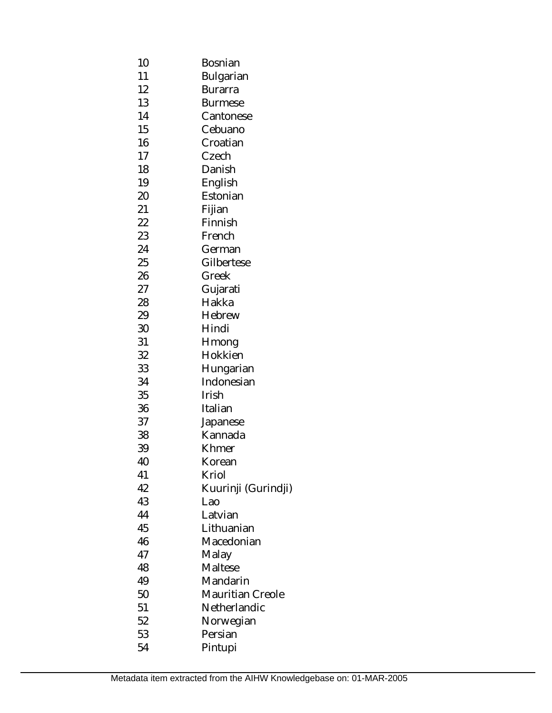| 10 | Bosnian                 |  |
|----|-------------------------|--|
| 11 | Bulgarian               |  |
| 12 | Burarra                 |  |
| 13 | Burmese                 |  |
| 14 | Cantonese               |  |
| 15 | Cebuano                 |  |
| 16 | Croatian                |  |
| 17 | Czech                   |  |
| 18 | Danish                  |  |
| 19 | English                 |  |
| 20 | Estonian                |  |
| 21 | Fijian                  |  |
| 22 | Finnish                 |  |
| 23 | French                  |  |
| 24 | German                  |  |
| 25 | Gilbertese              |  |
| 26 | Greek                   |  |
| 27 | Gujarati                |  |
| 28 | Hakka                   |  |
| 29 | Hebrew                  |  |
| 30 | Hindi                   |  |
| 31 | Hmong                   |  |
| 32 | Hokkien                 |  |
| 33 | Hungarian               |  |
| 34 | Indonesian              |  |
| 35 | Irish                   |  |
| 36 | Italian                 |  |
| 37 | Japanese                |  |
| 38 | Kannada                 |  |
| 39 | Khmer                   |  |
| 40 | Korean                  |  |
| 41 | Kriol                   |  |
| 42 | Kuurinji (Gurindji)     |  |
| 43 | Lao                     |  |
| 44 | Latvian                 |  |
| 45 | Lithuanian              |  |
| 46 | Macedonian              |  |
| 47 | Malay                   |  |
| 48 | Maltese                 |  |
| 49 | Mandarin                |  |
| 50 | <b>Mauritian Creole</b> |  |
| 51 | Netherlandic            |  |
| 52 | Norwegian               |  |
| 53 | Persian                 |  |
| 54 | Pintupi                 |  |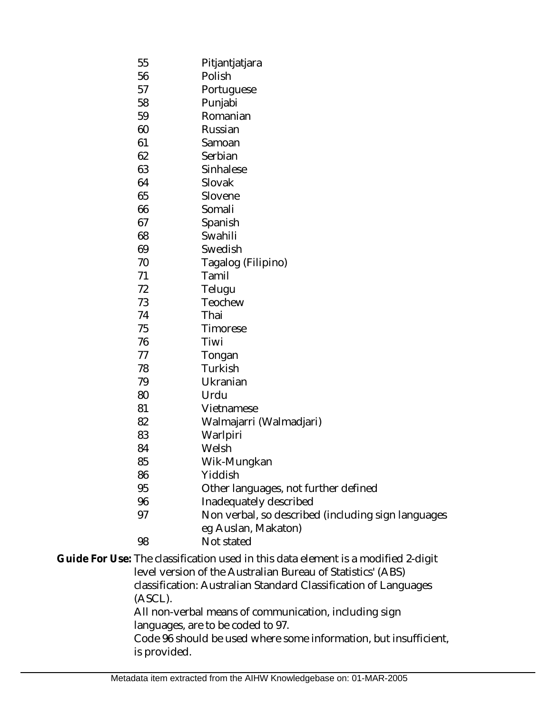- 55 Pitjantjatjara
- 56 Polish
- 57 Portuguese
- 58 Punjabi
- 59 Romanian
- 60 Russian
- 61 Samoan
- 62 Serbian
- 63 Sinhalese
- 64 Slovak
- 65 Slovene
- 66 Somali
- 67 Spanish
- 68 Swahili
- 69 Swedish
- 70 Tagalog (Filipino)
- 71 Tamil
- 72 Telugu
- 73 Teochew
- 74 Thai
- 75 Timorese
- 76 Tiwi
- 77 Tongan
- 78 Turkish
- 79 Ukranian
- 80 Urdu
- 81 Vietnamese
- 82 Walmajarri (Walmadjari)
- 83 **Warlpiri**
- 84 Welsh
- 85 Wik-Mungkan
- 86 Yiddish
- 95 Other languages, not further defined
- 96 Inadequately described
- 97 Non verbal, so described (including sign languages eg Auslan, Makaton)
- 98 Not stated

#### Guide For Use: The classification used in this data element is a modified 2-digit level version of the Australian Bureau of Statistics' (ABS) classification: Australian Standard Classification of Languages (ASCL). All non-verbal means of communication, including sign languages, are to be coded to 97.

Code 96 should be used where some information, but insufficient, is provided.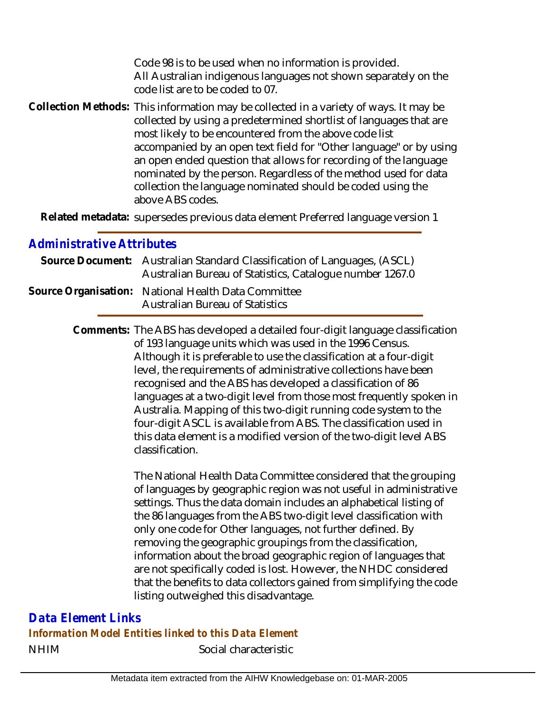Code 98 is to be used when no information is provided. All Australian indigenous languages not shown separately on the code list are to be coded to 07.

Collection Methods: This information may be collected in a variety of ways. It may be collected by using a predetermined shortlist of languages that are most likely to be encountered from the above code list accompanied by an open text field for "Other language" or by using an open ended question that allows for recording of the language nominated by the person. Regardless of the method used for data collection the language nominated should be coded using the above ABS codes.

Related metadata: supersedes previous data element Preferred language version 1

## *Administrative Attributes*

| Source Document: Australian Standard Classification of Languages, (ASCL)<br>Australian Bureau of Statistics, Catalogue number 1267.0 |
|--------------------------------------------------------------------------------------------------------------------------------------|
| Source Organisation: National Health Data Committee<br><b>Australian Bureau of Statistics</b>                                        |

Comments: The ABS has developed a detailed four-digit language classification of 193 language units which was used in the 1996 Census. Although it is preferable to use the classification at a four-digit level, the requirements of administrative collections have been recognised and the ABS has developed a classification of 86 languages at a two-digit level from those most frequently spoken in Australia. Mapping of this two-digit running code system to the four-digit ASCL is available from ABS. The classification used in this data element is a modified version of the two-digit level ABS classification.

> The National Health Data Committee considered that the grouping of languages by geographic region was not useful in administrative settings. Thus the data domain includes an alphabetical listing of the 86 languages from the ABS two-digit level classification with only one code for Other languages, not further defined. By removing the geographic groupings from the classification, information about the broad geographic region of languages that are not specifically coded is lost. However, the NHDC considered that the benefits to data collectors gained from simplifying the code listing outweighed this disadvantage.

NHIM Social characteristic *Data Element Links Information Model Entities linked to this Data Element*